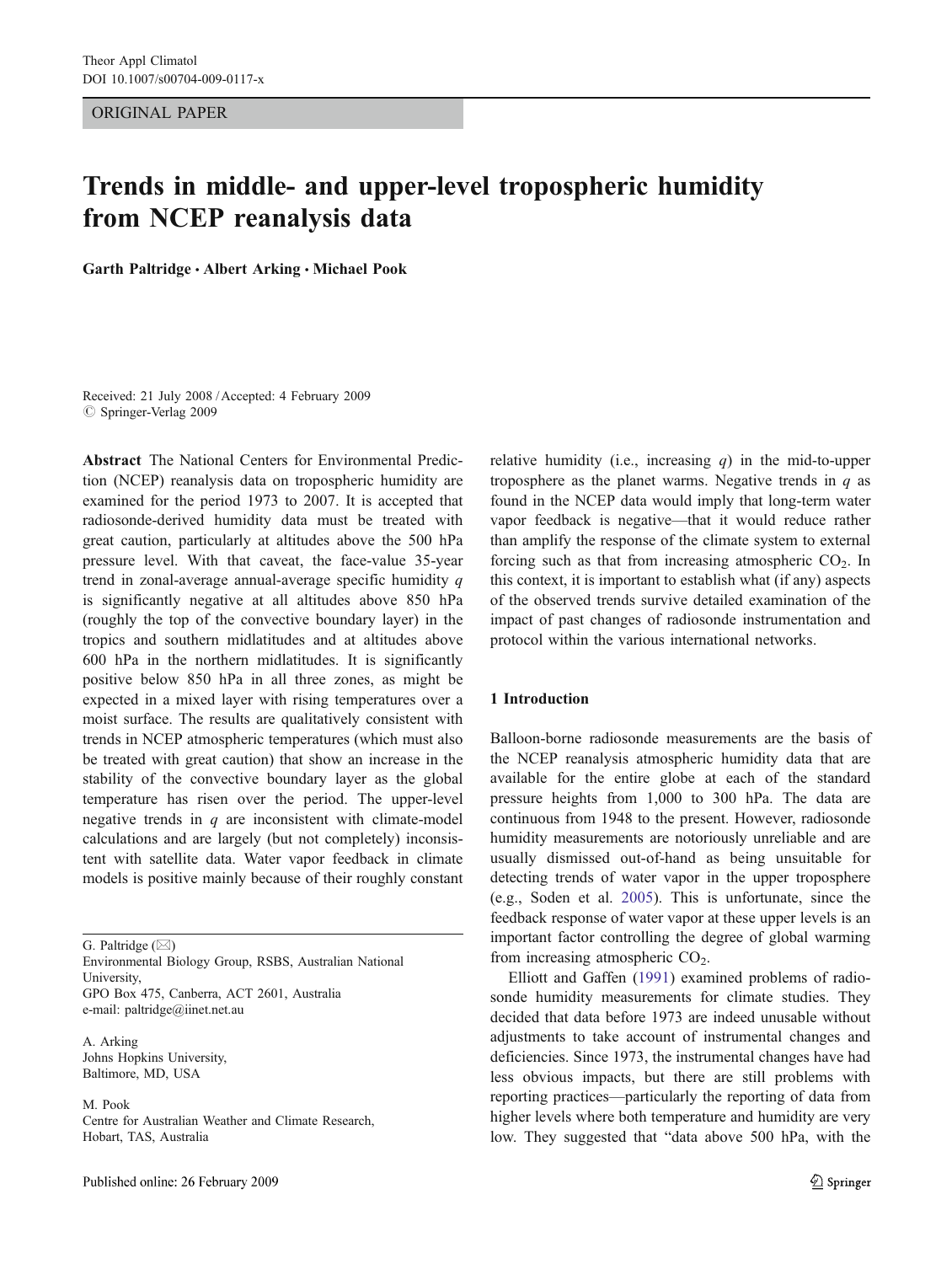ORIGINAL PAPER

# Trends in middle- and upper-level tropospheric humidity from NCEP reanalysis data

Garth Paltridge · Albert Arking · Michael Pook

Received: 21 July 2008 /Accepted: 4 February 2009 © Springer-Verlag 2009

Abstract The National Centers for Environmental Prediction (NCEP) reanalysis data on tropospheric humidity are examined for the period 1973 to 2007. It is accepted that radiosonde-derived humidity data must be treated with great caution, particularly at altitudes above the 500 hPa pressure level. With that caveat, the face-value 35-year trend in zonal-average annual-average specific humidity q is significantly negative at all altitudes above 850 hPa (roughly the top of the convective boundary layer) in the tropics and southern midlatitudes and at altitudes above 600 hPa in the northern midlatitudes. It is significantly positive below 850 hPa in all three zones, as might be expected in a mixed layer with rising temperatures over a moist surface. The results are qualitatively consistent with trends in NCEP atmospheric temperatures (which must also be treated with great caution) that show an increase in the stability of the convective boundary layer as the global temperature has risen over the period. The upper-level negative trends in  $q$  are inconsistent with climate-model calculations and are largely (but not completely) inconsistent with satellite data. Water vapor feedback in climate models is positive mainly because of their roughly constant

G. Paltridge  $(\boxtimes)$ 

Environmental Biology Group, RSBS, Australian National University, GPO Box 475, Canberra, ACT 2601, Australia e-mail: paltridge@iinet.net.au

A. Arking Johns Hopkins University, Baltimore, MD, USA

M. Pook Centre for Australian Weather and Climate Research, Hobart, TAS, Australia

relative humidity (i.e., increasing  $q$ ) in the mid-to-upper troposphere as the planet warms. Negative trends in  $q$  as found in the NCEP data would imply that long-term water vapor feedback is negative—that it would reduce rather than amplify the response of the climate system to external forcing such as that from increasing atmospheric  $CO<sub>2</sub>$ . In this context, it is important to establish what (if any) aspects of the observed trends survive detailed examination of the impact of past changes of radiosonde instrumentation and protocol within the various international networks.

## 1 Introduction

Balloon-borne radiosonde measurements are the basis of the NCEP reanalysis atmospheric humidity data that are available for the entire globe at each of the standard pressure heights from 1,000 to 300 hPa. The data are continuous from 1948 to the present. However, radiosonde humidity measurements are notoriously unreliable and are usually dismissed out-of-hand as being unsuitable for detecting trends of water vapor in the upper troposphere (e.g., Soden et al. [2005\)](#page-8-0). This is unfortunate, since the feedback response of water vapor at these upper levels is an important factor controlling the degree of global warming from increasing atmospheric  $CO<sub>2</sub>$ .

Elliott and Gaffen [\(1991](#page-8-0)) examined problems of radiosonde humidity measurements for climate studies. They decided that data before 1973 are indeed unusable without adjustments to take account of instrumental changes and deficiencies. Since 1973, the instrumental changes have had less obvious impacts, but there are still problems with reporting practices—particularly the reporting of data from higher levels where both temperature and humidity are very low. They suggested that "data above 500 hPa, with the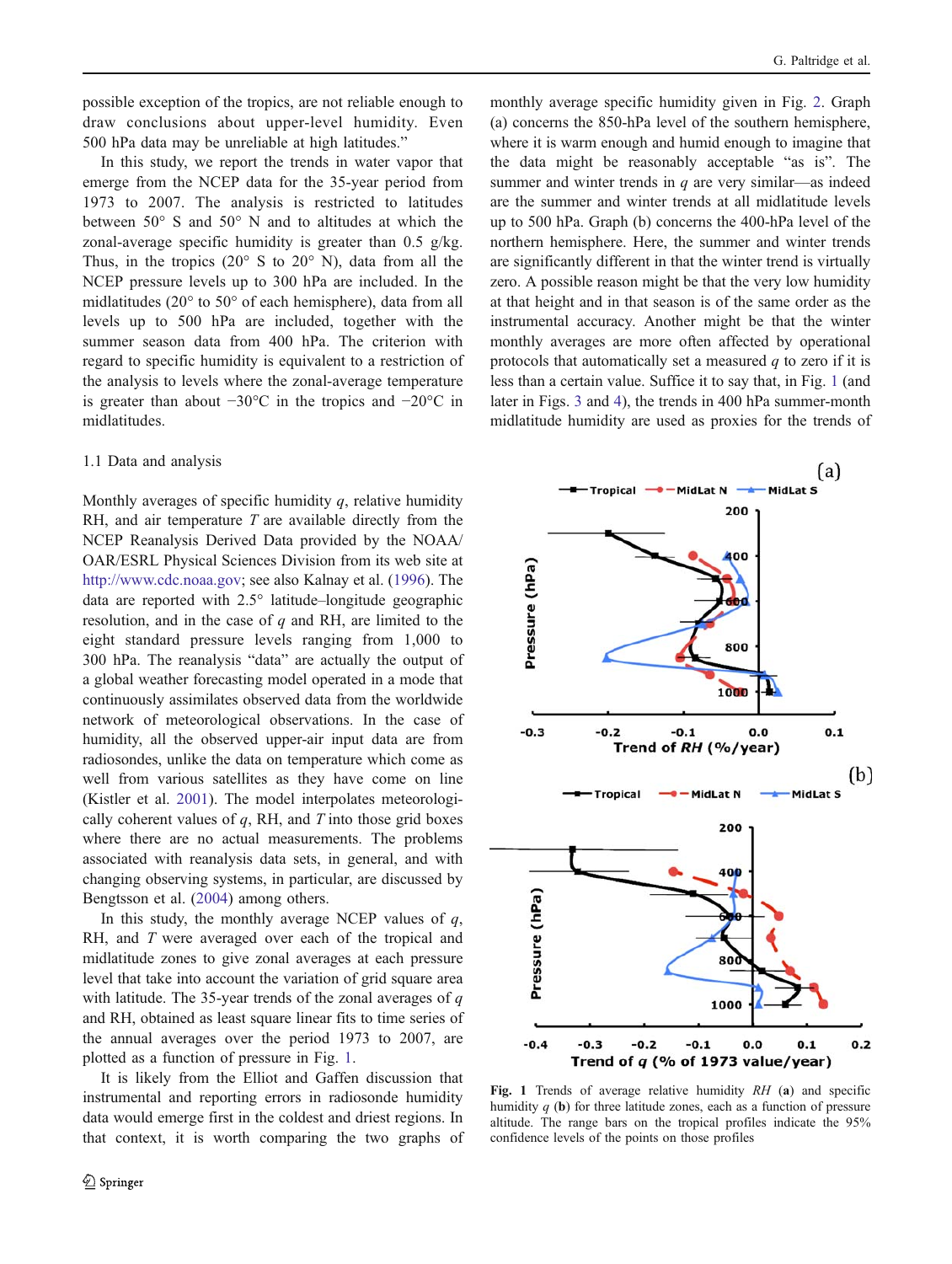<span id="page-1-0"></span>possible exception of the tropics, are not reliable enough to draw conclusions about upper-level humidity. Even 500 hPa data may be unreliable at high latitudes."

In this study, we report the trends in water vapor that emerge from the NCEP data for the 35-year period from 1973 to 2007. The analysis is restricted to latitudes between 50° S and 50° N and to altitudes at which the zonal-average specific humidity is greater than  $0.5$  g/kg. Thus, in the tropics  $(20^{\circ} S$  to  $20^{\circ} N$ ), data from all the NCEP pressure levels up to 300 hPa are included. In the midlatitudes (20° to 50° of each hemisphere), data from all levels up to 500 hPa are included, together with the summer season data from 400 hPa. The criterion with regard to specific humidity is equivalent to a restriction of the analysis to levels where the zonal-average temperature is greater than about −30°C in the tropics and −20°C in midlatitudes.

# 1.1 Data and analysis

Monthly averages of specific humidity  $q$ , relative humidity RH, and air temperature  $T$  are available directly from the NCEP Reanalysis Derived Data provided by the NOAA/ OAR/ESRL Physical Sciences Division from its web site at <http://www.cdc.noaa.gov>; see also Kalnay et al. [\(1996](#page-8-0)). The data are reported with 2.5° latitude–longitude geographic resolution, and in the case of  $q$  and RH, are limited to the eight standard pressure levels ranging from 1,000 to 300 hPa. The reanalysis "data" are actually the output of a global weather forecasting model operated in a mode that continuously assimilates observed data from the worldwide network of meteorological observations. In the case of humidity, all the observed upper-air input data are from radiosondes, unlike the data on temperature which come as well from various satellites as they have come on line (Kistler et al. [2001\)](#page-8-0). The model interpolates meteorologically coherent values of  $q$ , RH, and  $T$  into those grid boxes where there are no actual measurements. The problems associated with reanalysis data sets, in general, and with changing observing systems, in particular, are discussed by Bengtsson et al. ([2004\)](#page-8-0) among others.

In this study, the monthly average NCEP values of  $q$ , RH, and T were averaged over each of the tropical and midlatitude zones to give zonal averages at each pressure level that take into account the variation of grid square area with latitude. The 35-year trends of the zonal averages of  $q$ and RH, obtained as least square linear fits to time series of the annual averages over the period 1973 to 2007, are plotted as a function of pressure in Fig. 1.

It is likely from the Elliot and Gaffen discussion that instrumental and reporting errors in radiosonde humidity data would emerge first in the coldest and driest regions. In that context, it is worth comparing the two graphs of monthly average specific humidity given in Fig. [2.](#page-2-0) Graph (a) concerns the 850-hPa level of the southern hemisphere, where it is warm enough and humid enough to imagine that the data might be reasonably acceptable "as is". The summer and winter trends in  $q$  are very similar—as indeed are the summer and winter trends at all midlatitude levels up to 500 hPa. Graph (b) concerns the 400-hPa level of the northern hemisphere. Here, the summer and winter trends are significantly different in that the winter trend is virtually zero. A possible reason might be that the very low humidity at that height and in that season is of the same order as the instrumental accuracy. Another might be that the winter monthly averages are more often affected by operational protocols that automatically set a measured  $q$  to zero if it is less than a certain value. Suffice it to say that, in Fig. 1 (and later in Figs. [3](#page-3-0) and [4](#page-3-0)), the trends in 400 hPa summer-month midlatitude humidity are used as proxies for the trends of



Fig. 1 Trends of average relative humidity RH (a) and specific humidity  $q$  (b) for three latitude zones, each as a function of pressure altitude. The range bars on the tropical profiles indicate the 95% confidence levels of the points on those profiles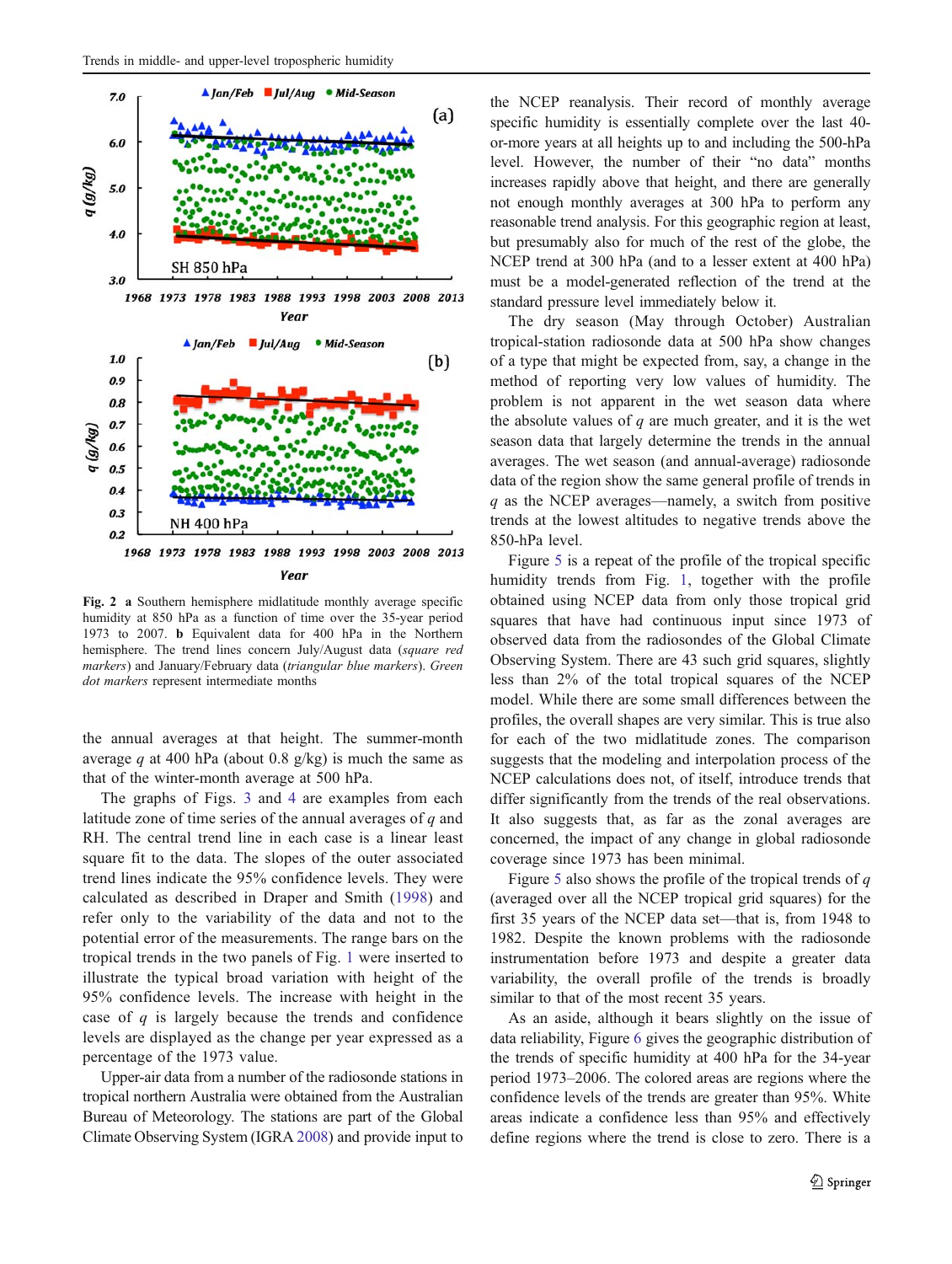<span id="page-2-0"></span>

Fig. 2 a Southern hemisphere midlatitude monthly average specific humidity at 850 hPa as a function of time over the 35-year period 1973 to 2007. b Equivalent data for 400 hPa in the Northern hemisphere. The trend lines concern July/August data (square red markers) and January/February data (triangular blue markers). Green dot markers represent intermediate months

the annual averages at that height. The summer-month average q at 400 hPa (about 0.8 g/kg) is much the same as that of the winter-month average at 500 hPa.

The graphs of Figs. [3](#page-3-0) and [4](#page-3-0) are examples from each latitude zone of time series of the annual averages of  $q$  and RH. The central trend line in each case is a linear least square fit to the data. The slopes of the outer associated trend lines indicate the 95% confidence levels. They were calculated as described in Draper and Smith [\(1998\)](#page-8-0) and refer only to the variability of the data and not to the potential error of the measurements. The range bars on the tropical trends in the two panels of Fig. [1](#page-1-0) were inserted to illustrate the typical broad variation with height of the 95% confidence levels. The increase with height in the case of  $q$  is largely because the trends and confidence levels are displayed as the change per year expressed as a percentage of the 1973 value.

Upper-air data from a number of the radiosonde stations in tropical northern Australia were obtained from the Australian Bureau of Meteorology. The stations are part of the Global Climate Observing System (IGRA [2008](#page-8-0)) and provide input to

the NCEP reanalysis. Their record of monthly average specific humidity is essentially complete over the last 40 or-more years at all heights up to and including the 500-hPa level. However, the number of their "no data" months increases rapidly above that height, and there are generally not enough monthly averages at 300 hPa to perform any reasonable trend analysis. For this geographic region at least, but presumably also for much of the rest of the globe, the NCEP trend at 300 hPa (and to a lesser extent at 400 hPa) must be a model-generated reflection of the trend at the standard pressure level immediately below it.

The dry season (May through October) Australian tropical-station radiosonde data at 500 hPa show changes of a type that might be expected from, say, a change in the method of reporting very low values of humidity. The problem is not apparent in the wet season data where the absolute values of  $q$  are much greater, and it is the wet season data that largely determine the trends in the annual averages. The wet season (and annual-average) radiosonde data of the region show the same general profile of trends in  $q$  as the NCEP averages—namely, a switch from positive trends at the lowest altitudes to negative trends above the 850-hPa level.

Figure [5](#page-4-0) is a repeat of the profile of the tropical specific humidity trends from Fig. [1](#page-1-0), together with the profile obtained using NCEP data from only those tropical grid squares that have had continuous input since 1973 of observed data from the radiosondes of the Global Climate Observing System. There are 43 such grid squares, slightly less than 2% of the total tropical squares of the NCEP model. While there are some small differences between the profiles, the overall shapes are very similar. This is true also for each of the two midlatitude zones. The comparison suggests that the modeling and interpolation process of the NCEP calculations does not, of itself, introduce trends that differ significantly from the trends of the real observations. It also suggests that, as far as the zonal averages are concerned, the impact of any change in global radiosonde coverage since 1973 has been minimal.

Figure [5](#page-4-0) also shows the profile of the tropical trends of  $q$ (averaged over all the NCEP tropical grid squares) for the first 35 years of the NCEP data set—that is, from 1948 to 1982. Despite the known problems with the radiosonde instrumentation before 1973 and despite a greater data variability, the overall profile of the trends is broadly similar to that of the most recent 35 years.

As an aside, although it bears slightly on the issue of data reliability, Figure [6](#page-4-0) gives the geographic distribution of the trends of specific humidity at 400 hPa for the 34-year period 1973–2006. The colored areas are regions where the confidence levels of the trends are greater than 95%. White areas indicate a confidence less than 95% and effectively define regions where the trend is close to zero. There is a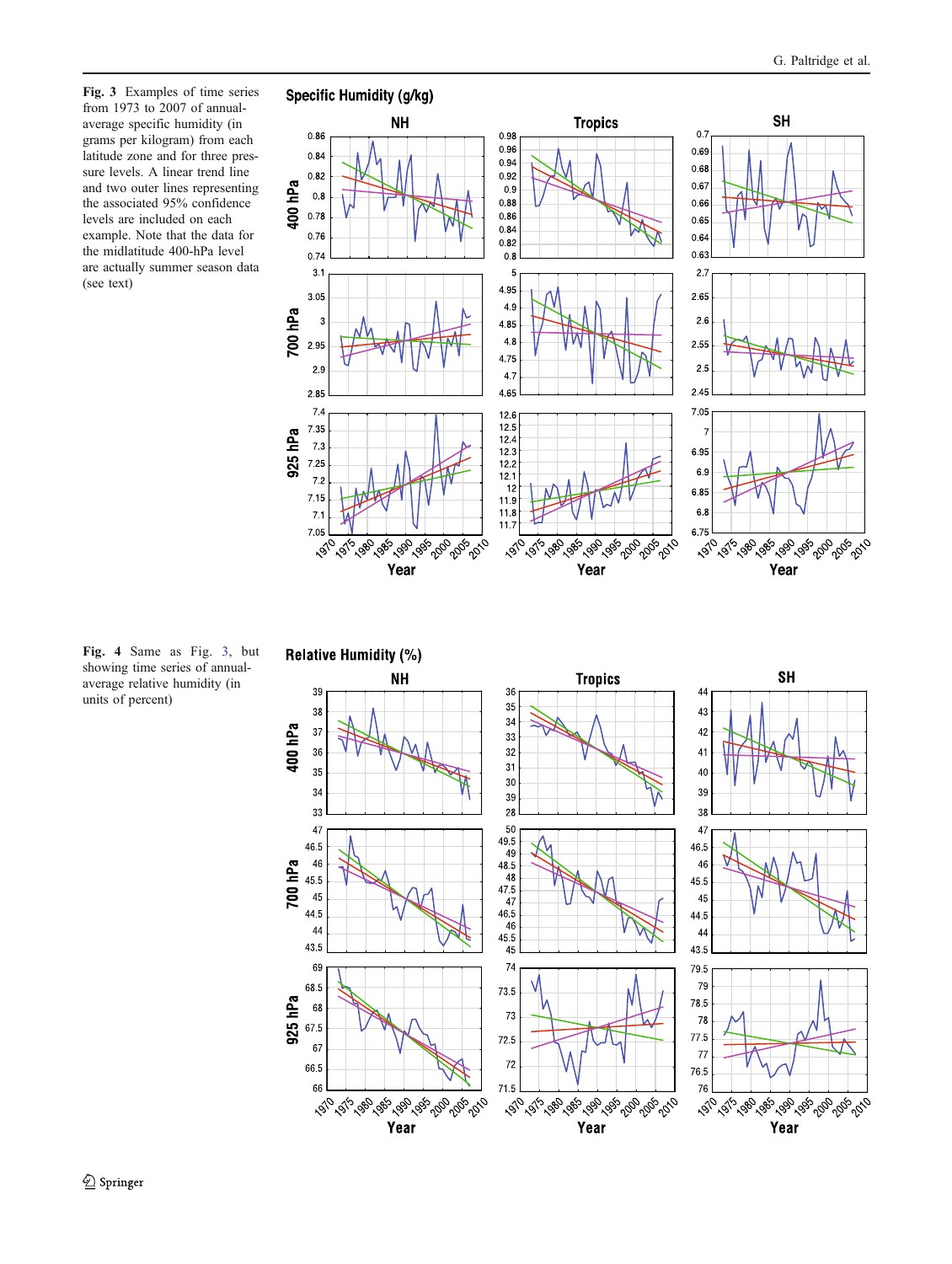<span id="page-3-0"></span>Fig. 3 Examples of time series from 1973 to 2007 of annualaverage specific humidity (in grams per kilogram) from each latitude zone and for three pressure levels. A linear trend line and two outer lines representing the associated 95% confidence levels are included on each example. Note that the data for the midlatitude 400-hPa level are actually summer season data (see text)



Fig. 4 Same as Fig. 3, but showing time series of annualaverage relative humidity (in units of percent)

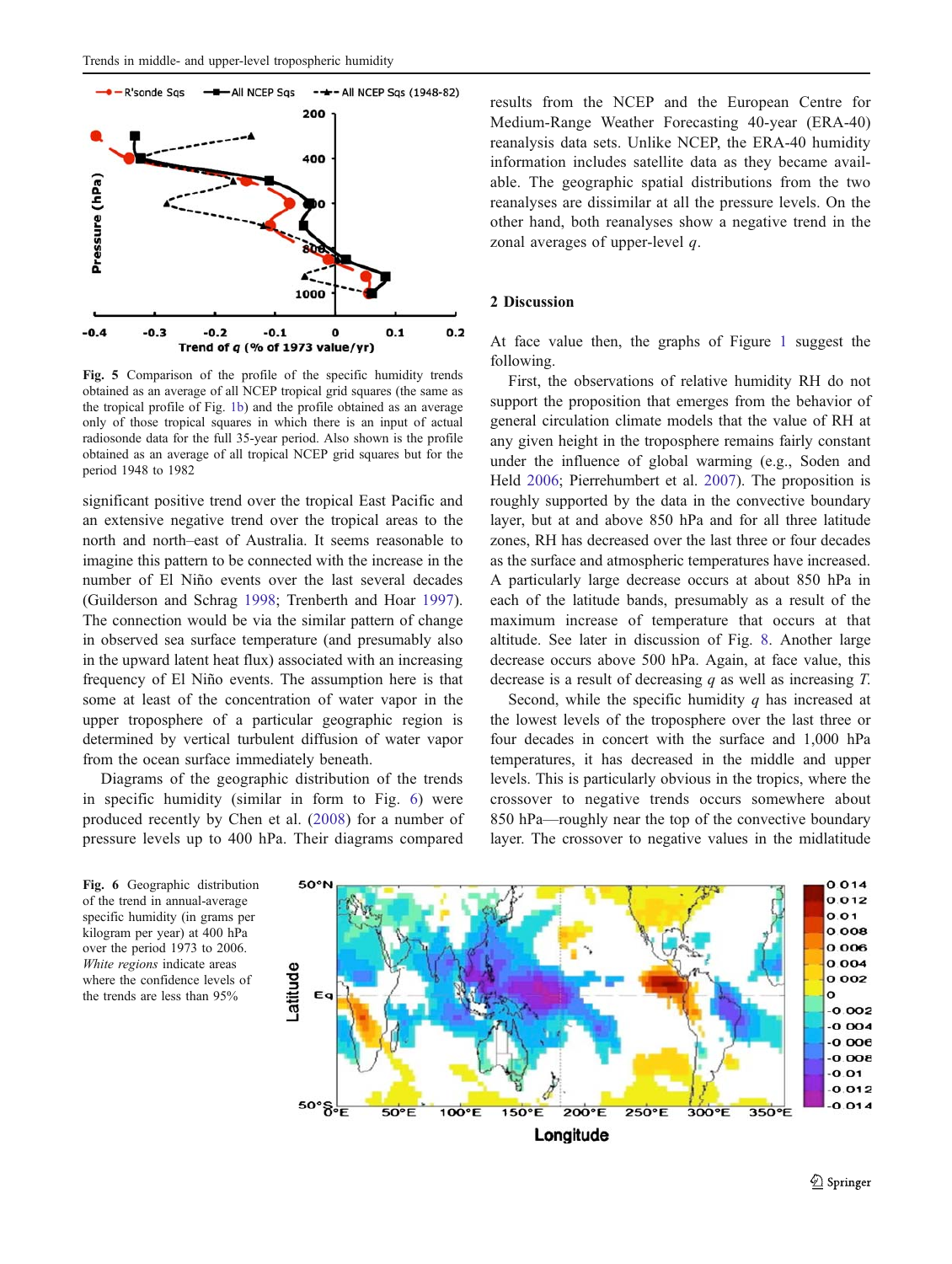<span id="page-4-0"></span>

Fig. 5 Comparison of the profile of the specific humidity trends obtained as an average of all NCEP tropical grid squares (the same as the tropical profile of Fig. [1b\)](#page-1-0) and the profile obtained as an average only of those tropical squares in which there is an input of actual radiosonde data for the full 35-year period. Also shown is the profile obtained as an average of all tropical NCEP grid squares but for the period 1948 to 1982

significant positive trend over the tropical East Pacific and an extensive negative trend over the tropical areas to the north and north–east of Australia. It seems reasonable to imagine this pattern to be connected with the increase in the number of El Niño events over the last several decades (Guilderson and Schrag [1998;](#page-8-0) Trenberth and Hoar [1997](#page-8-0)). The connection would be via the similar pattern of change in observed sea surface temperature (and presumably also in the upward latent heat flux) associated with an increasing frequency of El Niño events. The assumption here is that some at least of the concentration of water vapor in the upper troposphere of a particular geographic region is determined by vertical turbulent diffusion of water vapor from the ocean surface immediately beneath.

Diagrams of the geographic distribution of the trends in specific humidity (similar in form to Fig. 6) were produced recently by Chen et al. ([2008](#page-8-0)) for a number of pressure levels up to 400 hPa. Their diagrams compared results from the NCEP and the European Centre for Medium-Range Weather Forecasting 40-year (ERA-40) reanalysis data sets. Unlike NCEP, the ERA-40 humidity information includes satellite data as they became available. The geographic spatial distributions from the two reanalyses are dissimilar at all the pressure levels. On the other hand, both reanalyses show a negative trend in the zonal averages of upper-level q.

#### 2 Discussion

At face value then, the graphs of Figure [1](#page-1-0) suggest the following.

First, the observations of relative humidity RH do not support the proposition that emerges from the behavior of general circulation climate models that the value of RH at any given height in the troposphere remains fairly constant under the influence of global warming (e.g., Soden and Held [2006;](#page-8-0) Pierrehumbert et al. [2007\)](#page-8-0). The proposition is roughly supported by the data in the convective boundary layer, but at and above 850 hPa and for all three latitude zones, RH has decreased over the last three or four decades as the surface and atmospheric temperatures have increased. A particularly large decrease occurs at about 850 hPa in each of the latitude bands, presumably as a result of the maximum increase of temperature that occurs at that altitude. See later in discussion of Fig. [8](#page-5-0). Another large decrease occurs above 500 hPa. Again, at face value, this decrease is a result of decreasing  $q$  as well as increasing  $T$ .

Second, while the specific humidity  $q$  has increased at the lowest levels of the troposphere over the last three or four decades in concert with the surface and 1,000 hPa temperatures, it has decreased in the middle and upper levels. This is particularly obvious in the tropics, where the crossover to negative trends occurs somewhere about 850 hPa—roughly near the top of the convective boundary layer. The crossover to negative values in the midlatitude



Fig. 6 Geographic distribution of the trend in annual-average specific humidity (in grams per kilogram per year) at 400 hPa over the period 1973 to 2006. White regions indicate areas where the confidence levels of the trends are less than 95%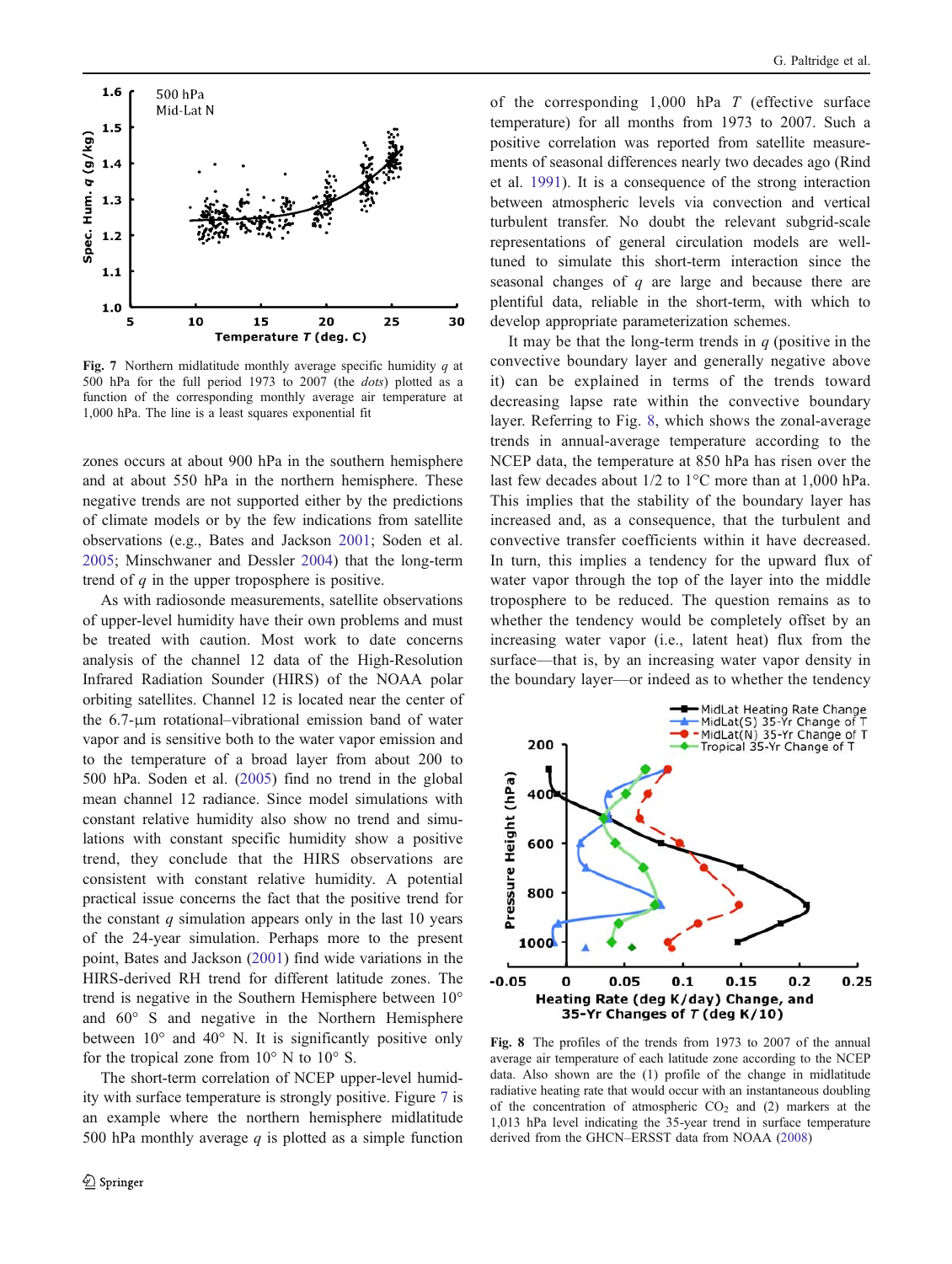<span id="page-5-0"></span>

Fig. 7 Northern midlatitude monthly average specific humidity  $q$  at 500 hPa for the full period 1973 to 2007 (the dots) plotted as a function of the corresponding monthly average air temperature at 1,000 hPa. The line is a least squares exponential fit

zones occurs at about 900 hPa in the southern hemisphere and at about 550 hPa in the northern hemisphere. These negative trends are not supported either by the predictions of climate models or by the few indications from satellite observations (e.g., Bates and Jackson [2001](#page-8-0); Soden et al. [2005;](#page-8-0) Minschwaner and Dessler [2004](#page-8-0)) that the long-term trend of  $q$  in the upper troposphere is positive.

As with radiosonde measurements, satellite observations of upper-level humidity have their own problems and must be treated with caution. Most work to date concerns analysis of the channel 12 data of the High-Resolution Infrared Radiation Sounder (HIRS) of the NOAA polar orbiting satellites. Channel 12 is located near the center of the 6.7-μm rotational–vibrational emission band of water vapor and is sensitive both to the water vapor emission and to the temperature of a broad layer from about 200 to 500 hPa. Soden et al. [\(2005](#page-8-0)) find no trend in the global mean channel 12 radiance. Since model simulations with constant relative humidity also show no trend and simulations with constant specific humidity show a positive trend, they conclude that the HIRS observations are consistent with constant relative humidity. A potential practical issue concerns the fact that the positive trend for the constant  $q$  simulation appears only in the last 10 years of the 24-year simulation. Perhaps more to the present point, Bates and Jackson ([2001\)](#page-8-0) find wide variations in the HIRS-derived RH trend for different latitude zones. The trend is negative in the Southern Hemisphere between 10° and 60° S and negative in the Northern Hemisphere between 10° and 40° N. It is significantly positive only for the tropical zone from  $10^{\circ}$  N to  $10^{\circ}$  S.

The short-term correlation of NCEP upper-level humidity with surface temperature is strongly positive. Figure 7 is an example where the northern hemisphere midlatitude 500 hPa monthly average  $q$  is plotted as a simple function

of the corresponding  $1,000$  hPa  $T$  (effective surface temperature) for all months from 1973 to 2007. Such a positive correlation was reported from satellite measurements of seasonal differences nearly two decades ago (Rind et al. [1991\)](#page-8-0). It is a consequence of the strong interaction between atmospheric levels via convection and vertical turbulent transfer. No doubt the relevant subgrid-scale representations of general circulation models are welltuned to simulate this short-term interaction since the seasonal changes of  $q$  are large and because there are plentiful data, reliable in the short-term, with which to develop appropriate parameterization schemes.

It may be that the long-term trends in  $q$  (positive in the convective boundary layer and generally negative above it) can be explained in terms of the trends toward decreasing lapse rate within the convective boundary layer. Referring to Fig. 8, which shows the zonal-average trends in annual-average temperature according to the NCEP data, the temperature at 850 hPa has risen over the last few decades about 1/2 to 1°C more than at 1,000 hPa. This implies that the stability of the boundary layer has increased and, as a consequence, that the turbulent and convective transfer coefficients within it have decreased. In turn, this implies a tendency for the upward flux of water vapor through the top of the layer into the middle troposphere to be reduced. The question remains as to whether the tendency would be completely offset by an increasing water vapor (i.e., latent heat) flux from the surface—that is, by an increasing water vapor density in the boundary layer—or indeed as to whether the tendency



Fig. 8 The profiles of the trends from 1973 to 2007 of the annual average air temperature of each latitude zone according to the NCEP data. Also shown are the (1) profile of the change in midlatitude radiative heating rate that would occur with an instantaneous doubling of the concentration of atmospheric  $CO<sub>2</sub>$  and (2) markers at the 1,013 hPa level indicating the 35-year trend in surface temperature derived from the GHCN–ERSST data from NOAA ([2008\)](#page-8-0)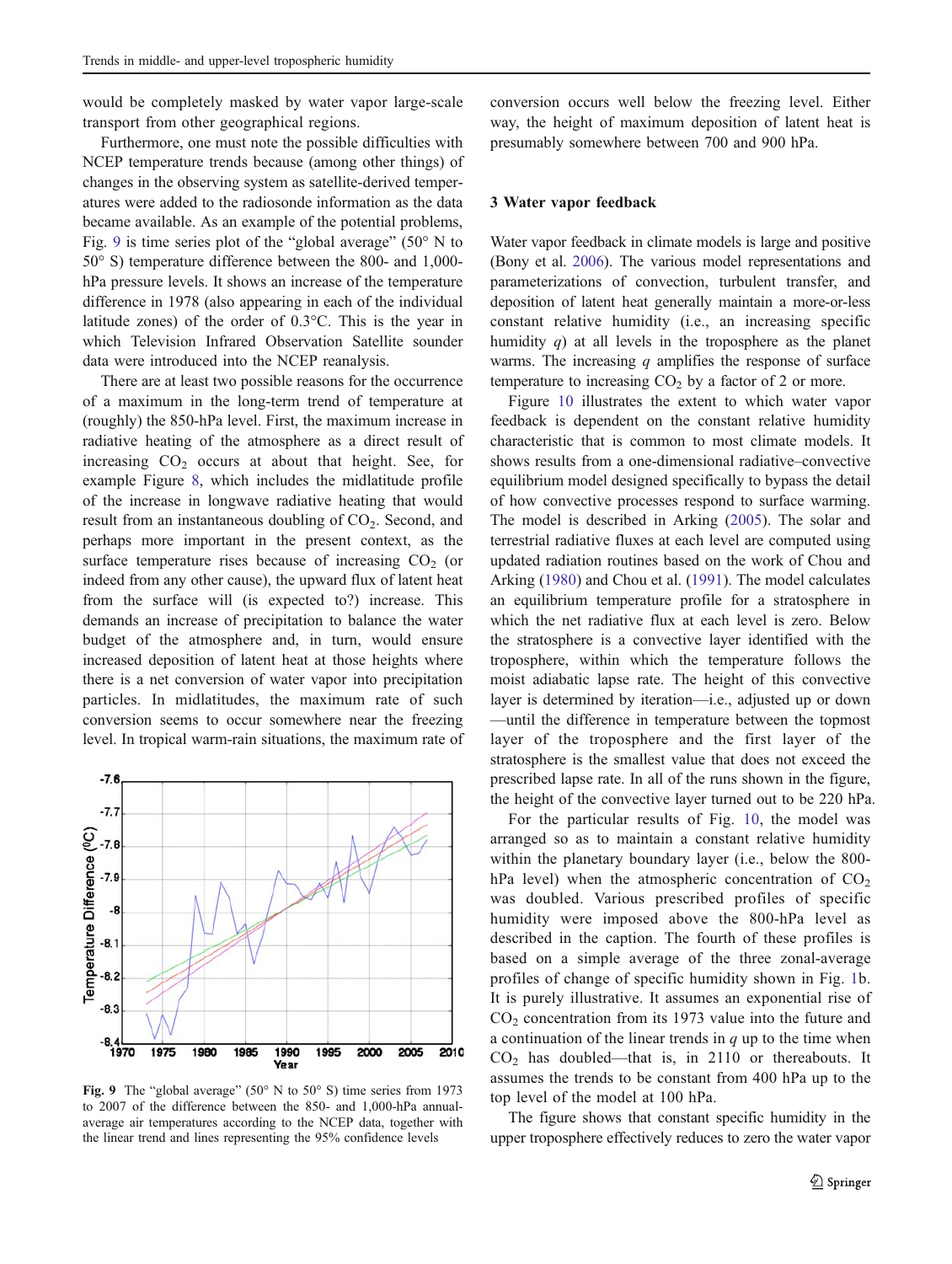would be completely masked by water vapor large-scale transport from other geographical regions.

Furthermore, one must note the possible difficulties with NCEP temperature trends because (among other things) of changes in the observing system as satellite-derived temperatures were added to the radiosonde information as the data became available. As an example of the potential problems, Fig. 9 is time series plot of the "global average" ( $50^{\circ}$  N to 50° S) temperature difference between the 800- and 1,000 hPa pressure levels. It shows an increase of the temperature difference in 1978 (also appearing in each of the individual latitude zones) of the order of 0.3°C. This is the year in which Television Infrared Observation Satellite sounder data were introduced into the NCEP reanalysis.

There are at least two possible reasons for the occurrence of a maximum in the long-term trend of temperature at (roughly) the 850-hPa level. First, the maximum increase in radiative heating of the atmosphere as a direct result of increasing  $CO<sub>2</sub>$  occurs at about that height. See, for example Figure [8,](#page-5-0) which includes the midlatitude profile of the increase in longwave radiative heating that would result from an instantaneous doubling of  $CO<sub>2</sub>$ . Second, and perhaps more important in the present context, as the surface temperature rises because of increasing  $CO<sub>2</sub>$  (or indeed from any other cause), the upward flux of latent heat from the surface will (is expected to?) increase. This demands an increase of precipitation to balance the water budget of the atmosphere and, in turn, would ensure increased deposition of latent heat at those heights where there is a net conversion of water vapor into precipitation particles. In midlatitudes, the maximum rate of such conversion seems to occur somewhere near the freezing level. In tropical warm-rain situations, the maximum rate of



Fig. 9 The "global average" (50° N to 50° S) time series from 1973 to 2007 of the difference between the 850- and 1,000-hPa annualaverage air temperatures according to the NCEP data, together with the linear trend and lines representing the 95% confidence levels

conversion occurs well below the freezing level. Either way, the height of maximum deposition of latent heat is presumably somewhere between 700 and 900 hPa.

### 3 Water vapor feedback

Water vapor feedback in climate models is large and positive (Bony et al. [2006\)](#page-8-0). The various model representations and parameterizations of convection, turbulent transfer, and deposition of latent heat generally maintain a more-or-less constant relative humidity (i.e., an increasing specific humidity  $q$ ) at all levels in the troposphere as the planet warms. The increasing  $q$  amplifies the response of surface temperature to increasing  $CO<sub>2</sub>$  by a factor of 2 or more.

Figure [10](#page-7-0) illustrates the extent to which water vapor feedback is dependent on the constant relative humidity characteristic that is common to most climate models. It shows results from a one-dimensional radiative–convective equilibrium model designed specifically to bypass the detail of how convective processes respond to surface warming. The model is described in Arking [\(2005\)](#page-8-0). The solar and terrestrial radiative fluxes at each level are computed using updated radiation routines based on the work of Chou and Arking ([1980\)](#page-8-0) and Chou et al. ([1991\)](#page-8-0). The model calculates an equilibrium temperature profile for a stratosphere in which the net radiative flux at each level is zero. Below the stratosphere is a convective layer identified with the troposphere, within which the temperature follows the moist adiabatic lapse rate. The height of this convective layer is determined by iteration—i.e., adjusted up or down —until the difference in temperature between the topmost layer of the troposphere and the first layer of the stratosphere is the smallest value that does not exceed the prescribed lapse rate. In all of the runs shown in the figure, the height of the convective layer turned out to be 220 hPa.

For the particular results of Fig. [10](#page-7-0), the model was arranged so as to maintain a constant relative humidity within the planetary boundary layer (i.e., below the 800 hPa level) when the atmospheric concentration of  $CO<sub>2</sub>$ was doubled. Various prescribed profiles of specific humidity were imposed above the 800-hPa level as described in the caption. The fourth of these profiles is based on a simple average of the three zonal-average profiles of change of specific humidity shown in Fig. [1](#page-1-0)b. It is purely illustrative. It assumes an exponential rise of  $CO<sub>2</sub>$  concentration from its 1973 value into the future and a continuation of the linear trends in  $q$  up to the time when  $CO<sub>2</sub>$  has doubled—that is, in 2110 or thereabouts. It assumes the trends to be constant from 400 hPa up to the top level of the model at 100 hPa.

The figure shows that constant specific humidity in the upper troposphere effectively reduces to zero the water vapor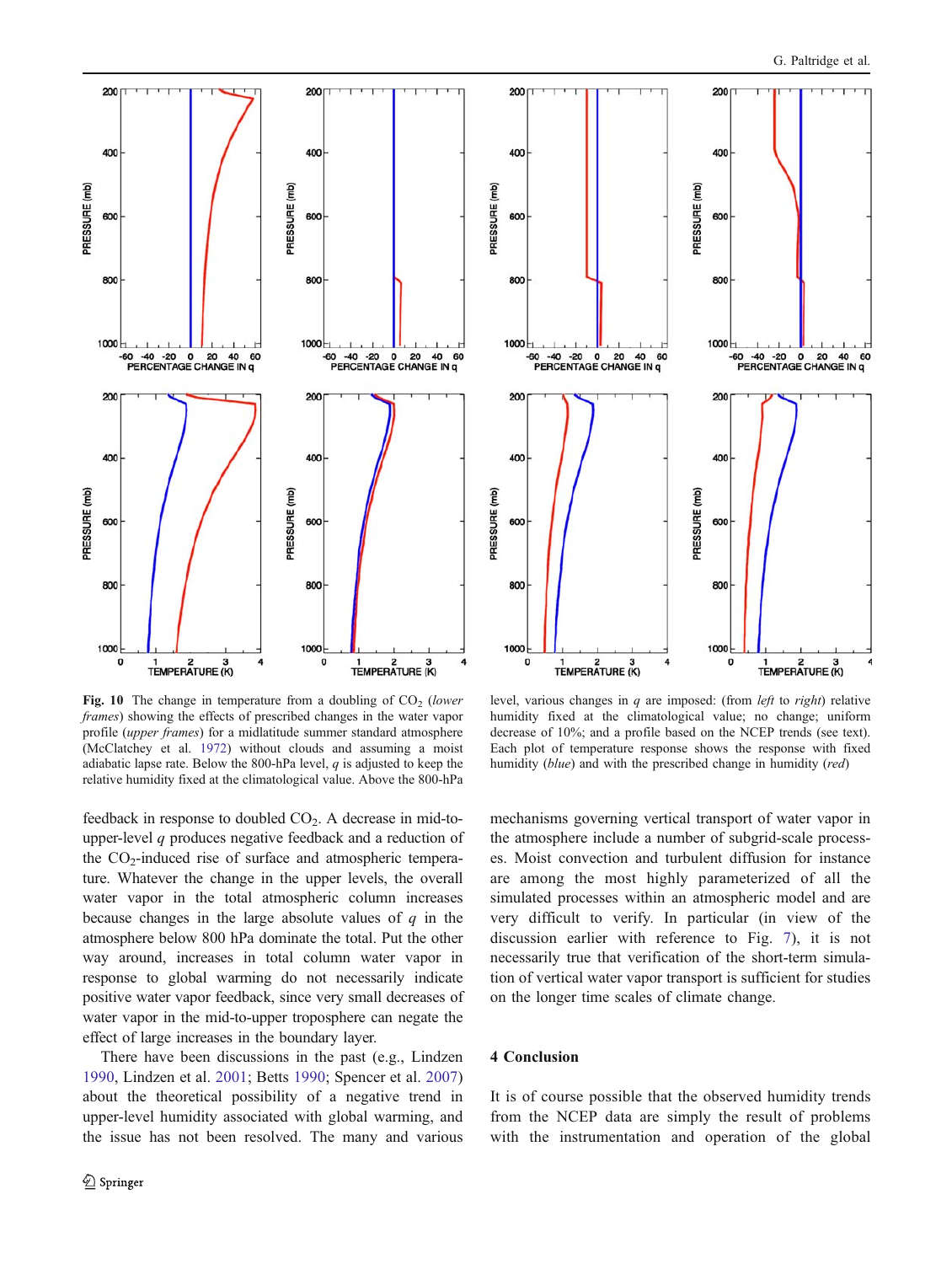<span id="page-7-0"></span>

Fig. 10 The change in temperature from a doubling of  $CO<sub>2</sub>$  (lower frames) showing the effects of prescribed changes in the water vapor profile (upper frames) for a midlatitude summer standard atmosphere (McClatchey et al. [1972](#page-8-0)) without clouds and assuming a moist adiabatic lapse rate. Below the 800-hPa level,  $q$  is adjusted to keep the relative humidity fixed at the climatological value. Above the 800-hPa

feedback in response to doubled CO<sub>2</sub>. A decrease in mid-toupper-level q produces negative feedback and a reduction of the  $CO<sub>2</sub>$ -induced rise of surface and atmospheric temperature. Whatever the change in the upper levels, the overall water vapor in the total atmospheric column increases because changes in the large absolute values of  $q$  in the atmosphere below 800 hPa dominate the total. Put the other way around, increases in total column water vapor in response to global warming do not necessarily indicate positive water vapor feedback, since very small decreases of water vapor in the mid-to-upper troposphere can negate the effect of large increases in the boundary layer.

There have been discussions in the past (e.g., Lindzen [1990,](#page-8-0) Lindzen et al. [2001;](#page-8-0) Betts [1990;](#page-8-0) Spencer et al. [2007\)](#page-8-0) about the theoretical possibility of a negative trend in upper-level humidity associated with global warming, and the issue has not been resolved. The many and various



level, various changes in  $q$  are imposed: (from *left* to *right*) relative humidity fixed at the climatological value; no change; uniform decrease of 10%; and a profile based on the NCEP trends (see text). Each plot of temperature response shows the response with fixed humidity (blue) and with the prescribed change in humidity (red)

mechanisms governing vertical transport of water vapor in the atmosphere include a number of subgrid-scale processes. Moist convection and turbulent diffusion for instance are among the most highly parameterized of all the simulated processes within an atmospheric model and are very difficult to verify. In particular (in view of the discussion earlier with reference to Fig. [7](#page-5-0)), it is not necessarily true that verification of the short-term simulation of vertical water vapor transport is sufficient for studies on the longer time scales of climate change.

# 4 Conclusion

It is of course possible that the observed humidity trends from the NCEP data are simply the result of problems with the instrumentation and operation of the global